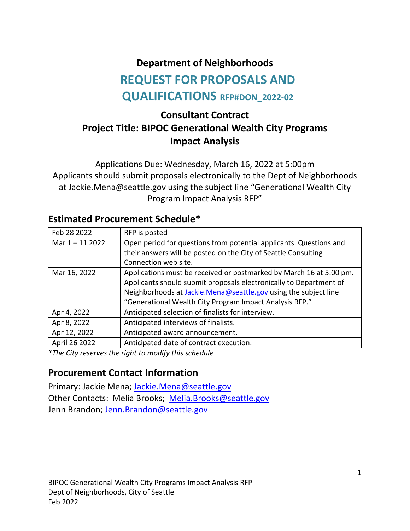#### **Department of Neighborhoods**

# **REQUEST FOR PROPOSALS AND QUALIFICATIONS RFP#DON\_2022-02**

# **Consultant Contract Project Title: BIPOC Generational Wealth City Programs Impact Analysis**

Applications Due: Wednesday, March 16, 2022 at 5:00pm Applicants should submit proposals electronically to the Dept of Neighborhoods at Jackie.Mena@seattle.gov using the subject line "Generational Wealth City Program Impact Analysis RFP"

| Feb 28 2022       | RFP is posted                                                          |
|-------------------|------------------------------------------------------------------------|
| Mar $1 - 11$ 2022 | Open period for questions from potential applicants. Questions and     |
|                   | their answers will be posted on the City of Seattle Consulting         |
|                   | Connection web site.                                                   |
| Mar 16, 2022      | Applications must be received or postmarked by March 16 at 5:00 pm.    |
|                   | Applicants should submit proposals electronically to Department of     |
|                   | Neighborhoods at <b>Jackie.Mena@seattle.gov</b> using the subject line |
|                   | "Generational Wealth City Program Impact Analysis RFP."                |
| Apr 4, 2022       | Anticipated selection of finalists for interview.                      |
| Apr 8, 2022       | Anticipated interviews of finalists.                                   |
| Apr 12, 2022      | Anticipated award announcement.                                        |
| April 26 2022     | Anticipated date of contract execution.                                |

#### **Estimated Procurement Schedule\***

*\*The City reserves the right to modify this schedule*

#### **Procurement Contact Information**

Primary: Jackie Mena; [Jackie.Mena@seattle.gov](about:blank) Other Contacts: Melia Brooks; [Melia.Brooks@seattle.gov](about:blank) Jenn Brandon; [Jenn.Brandon@seattle.gov](about:blank)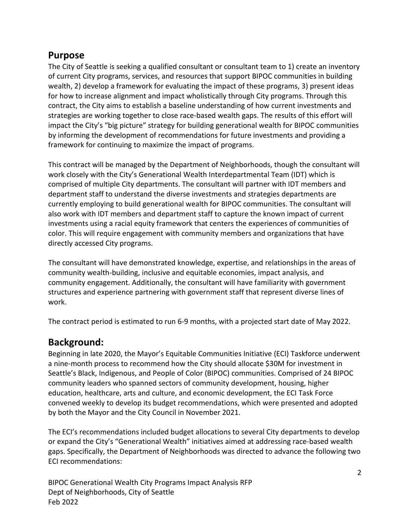#### **Purpose**

The City of Seattle is seeking a qualified consultant or consultant team to 1) create an inventory of current City programs, services, and resources that support BIPOC communities in building wealth, 2) develop a framework for evaluating the impact of these programs, 3) present ideas for how to increase alignment and impact wholistically through City programs. Through this contract, the City aims to establish a baseline understanding of how current investments and strategies are working together to close race-based wealth gaps. The results of this effort will impact the City's "big picture" strategy for building generational wealth for BIPOC communities by informing the development of recommendations for future investments and providing a framework for continuing to maximize the impact of programs.

This contract will be managed by the Department of Neighborhoods, though the consultant will work closely with the City's Generational Wealth Interdepartmental Team (IDT) which is comprised of multiple City departments. The consultant will partner with IDT members and department staff to understand the diverse investments and strategies departments are currently employing to build generational wealth for BIPOC communities. The consultant will also work with IDT members and department staff to capture the known impact of current investments using a racial equity framework that centers the experiences of communities of color. This will require engagement with community members and organizations that have directly accessed City programs.

The consultant will have demonstrated knowledge, expertise, and relationships in the areas of community wealth-building, inclusive and equitable economies, impact analysis, and community engagement. Additionally, the consultant will have familiarity with government structures and experience partnering with government staff that represent diverse lines of work.

The contract period is estimated to run 6-9 months, with a projected start date of May 2022.

#### **Background:**

Beginning in late 2020, the Mayor's Equitable Communities Initiative (ECI) Taskforce underwent a nine-month process to recommend how the City should allocate \$30M for investment in Seattle's Black, Indigenous, and People of Color (BIPOC) communities. Comprised of 24 BIPOC community leaders who spanned sectors of community development, housing, higher education, healthcare, arts and culture, and economic development, the ECI Task Force convened weekly to develop its budget recommendations, which were presented and adopted by both the Mayor and the City Council in November 2021.

The ECI's recommendations included budget allocations to several City departments to develop or expand the City's "Generational Wealth" initiatives aimed at addressing race-based wealth gaps. Specifically, the Department of Neighborhoods was directed to advance the following two ECI recommendations:

BIPOC Generational Wealth City Programs Impact Analysis RFP Dept of Neighborhoods, City of Seattle Feb 2022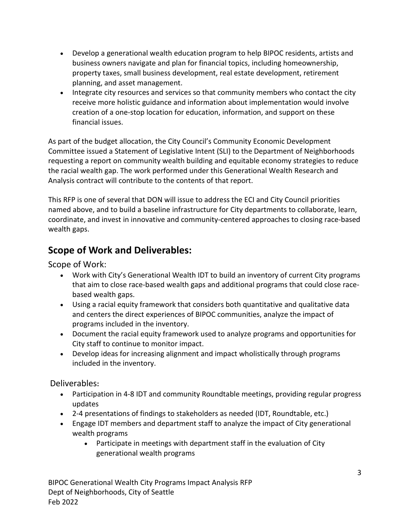- Develop a generational wealth education program to help BIPOC residents, artists and business owners navigate and plan for financial topics, including homeownership, property taxes, small business development, real estate development, retirement planning, and asset management.
- Integrate city resources and services so that community members who contact the city receive more holistic guidance and information about implementation would involve creation of a one-stop location for education, information, and support on these financial issues.

As part of the budget allocation, the City Council's Community Economic Development Committee issued a Statement of Legislative Intent (SLI) to the Department of Neighborhoods requesting a report on community wealth building and equitable economy strategies to reduce the racial wealth gap. The work performed under this Generational Wealth Research and Analysis contract will contribute to the contents of that report.

This RFP is one of several that DON will issue to address the ECI and City Council priorities named above, and to build a baseline infrastructure for City departments to collaborate, learn, coordinate, and invest in innovative and community-centered approaches to closing race-based wealth gaps.

#### **Scope of Work and Deliverables:**

Scope of Work:

- Work with City's Generational Wealth IDT to build an inventory of current City programs that aim to close race-based wealth gaps and additional programs that could close racebased wealth gaps.
- Using a racial equity framework that considers both quantitative and qualitative data and centers the direct experiences of BIPOC communities, analyze the impact of programs included in the inventory.
- Document the racial equity framework used to analyze programs and opportunities for City staff to continue to monitor impact.
- Develop ideas for increasing alignment and impact wholistically through programs included in the inventory.

Deliverables**:**

- Participation in 4-8 IDT and community Roundtable meetings, providing regular progress updates
- 2-4 presentations of findings to stakeholders as needed (IDT, Roundtable, etc.)
- Engage IDT members and department staff to analyze the impact of City generational wealth programs
	- Participate in meetings with department staff in the evaluation of City generational wealth programs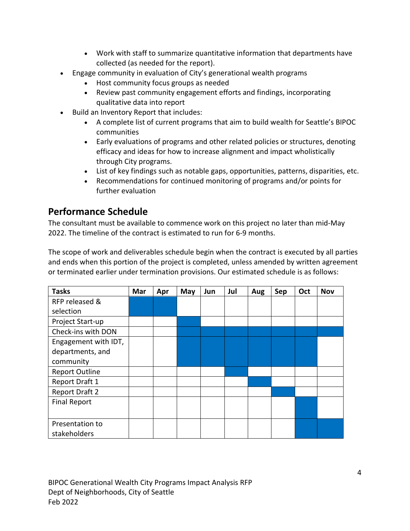- Work with staff to summarize quantitative information that departments have collected (as needed for the report).
- Engage community in evaluation of City's generational wealth programs
	- Host community focus groups as needed
	- Review past community engagement efforts and findings, incorporating qualitative data into report
- Build an Inventory Report that includes:
	- A complete list of current programs that aim to build wealth for Seattle's BIPOC communities
	- Early evaluations of programs and other related policies or structures, denoting efficacy and ideas for how to increase alignment and impact wholistically through City programs.
	- List of key findings such as notable gaps, opportunities, patterns, disparities, etc.
	- Recommendations for continued monitoring of programs and/or points for further evaluation

#### **Performance Schedule**

The consultant must be available to commence work on this project no later than mid-May 2022. The timeline of the contract is estimated to run for 6-9 months.

The scope of work and deliverables schedule begin when the contract is executed by all parties and ends when this portion of the project is completed, unless amended by written agreement or terminated earlier under termination provisions. Our estimated schedule is as follows:

| <b>Tasks</b>          | Mar | Apr | May | Jun | Jul | Aug | Sep | Oct | <b>Nov</b> |
|-----------------------|-----|-----|-----|-----|-----|-----|-----|-----|------------|
| RFP released &        |     |     |     |     |     |     |     |     |            |
| selection             |     |     |     |     |     |     |     |     |            |
| Project Start-up      |     |     |     |     |     |     |     |     |            |
| Check-ins with DON    |     |     |     |     |     |     |     |     |            |
| Engagement with IDT,  |     |     |     |     |     |     |     |     |            |
| departments, and      |     |     |     |     |     |     |     |     |            |
| community             |     |     |     |     |     |     |     |     |            |
| <b>Report Outline</b> |     |     |     |     |     |     |     |     |            |
| Report Draft 1        |     |     |     |     |     |     |     |     |            |
| Report Draft 2        |     |     |     |     |     |     |     |     |            |
| <b>Final Report</b>   |     |     |     |     |     |     |     |     |            |
|                       |     |     |     |     |     |     |     |     |            |
| Presentation to       |     |     |     |     |     |     |     |     |            |
| stakeholders          |     |     |     |     |     |     |     |     |            |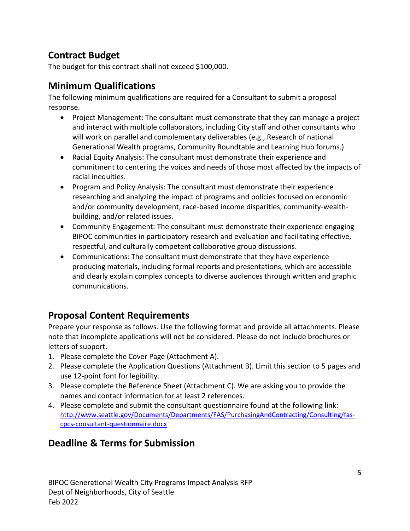## **Contract Budget**

The budget for this contract shall not exceed \$100,000.

## **Minimum Qualifications**

The following minimum qualifications are required for a Consultant to submit a proposal response.

- Project Management: The consultant must demonstrate that they can manage a project and interact with multiple collaborators, including City staff and other consultants who will work on parallel and complementary deliverables (e.g., Research of national Generational Wealth programs, Community Roundtable and Learning Hub forums.)
- Racial Equity Analysis: The consultant must demonstrate their experience and commitment to centering the voices and needs of those most affected by the impacts of racial inequities.
- Program and Policy Analysis: The consultant must demonstrate their experience researching and analyzing the impact of programs and policies focused on economic and/or community development, race-based income disparities, community-wealthbuilding, and/or related issues.
- Community Engagement: The consultant must demonstrate their experience engaging BIPOC communities in participatory research and evaluation and facilitating effective, respectful, and culturally competent collaborative group discussions.
- Communications: The consultant must demonstrate that they have experience producing materials, including formal reports and presentations, which are accessible and clearly explain complex concepts to diverse audiences through written and graphic communications.

# **Proposal Content Requirements**

Prepare your response as follows. Use the following format and provide all attachments. Please note that incomplete applications will not be considered. Please do not include brochures or letters of support.

- 1. Please complete the Cover Page (Attachment A).
- 2. Please complete the Application Questions (Attachment B). Limit this section to 5 pages and use 12-point font for legibility.
- 3. Please complete the Reference Sheet (Attachment C). We are asking you to provide the names and contact information for at least 2 references.
- 4. Please complete and submit the consultant questionnaire found at the following link: [http://www.seattle.gov/Documents/Departments/FAS/PurchasingAndContracting/Consulting/fas](about:blank)[cpcs-consultant-questionnaire.docx](about:blank)

# **Deadline & Terms for Submission**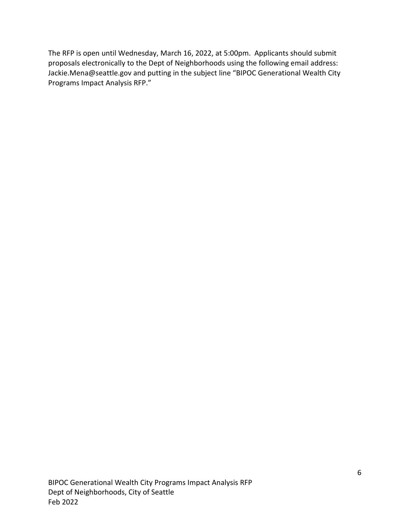The RFP is open until Wednesday, March 16, 2022, at 5:00pm. Applicants should submit proposals electronically to the Dept of Neighborhoods using the following email address: Jackie.Mena@seattle.gov and putting in the subject line "BIPOC Generational Wealth City Programs Impact Analysis RFP."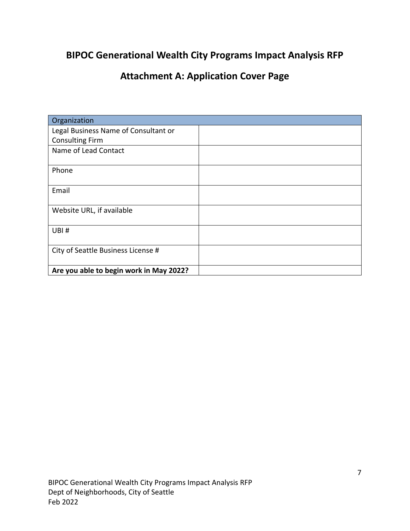## **BIPOC Generational Wealth City Programs Impact Analysis RFP**

# **Attachment A: Application Cover Page**

| Organization                            |  |  |
|-----------------------------------------|--|--|
| Legal Business Name of Consultant or    |  |  |
| <b>Consulting Firm</b>                  |  |  |
| Name of Lead Contact                    |  |  |
|                                         |  |  |
| Phone                                   |  |  |
|                                         |  |  |
| Email                                   |  |  |
|                                         |  |  |
| Website URL, if available               |  |  |
|                                         |  |  |
| UBI#                                    |  |  |
|                                         |  |  |
| City of Seattle Business License #      |  |  |
|                                         |  |  |
| Are you able to begin work in May 2022? |  |  |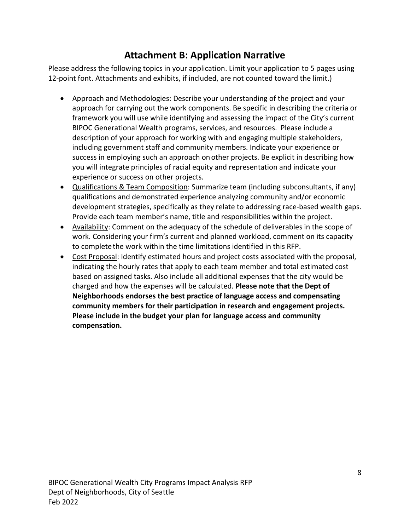### **Attachment B: Application Narrative**

Please address the following topics in your application. Limit your application to 5 pages using 12-point font. Attachments and exhibits, if included, are not counted toward the limit.)

- Approach and Methodologies: Describe your understanding of the project and your approach for carrying out the work components. Be specific in describing the criteria or framework you will use while identifying and assessing the impact of the City's current BIPOC Generational Wealth programs, services, and resources. Please include a description of your approach for working with and engaging multiple stakeholders, including government staff and community members. Indicate your experience or success in employing such an approach onother projects. Be explicit in describing how you will integrate principles of racial equity and representation and indicate your experience or success on other projects.
- Qualifications & Team Composition: Summarize team (including subconsultants, if any) qualifications and demonstrated experience analyzing community and/or economic development strategies, specifically as they relate to addressing race-based wealth gaps. Provide each team member's name, title and responsibilities within the project.
- Availability: Comment on the adequacy of the schedule of deliverables in the scope of work. Considering your firm's current and planned workload, comment on its capacity to completethe work within the time limitations identified in this RFP.
- Cost Proposal: Identify estimated hours and project costs associated with the proposal, indicating the hourly rates that apply to each team member and total estimated cost based on assigned tasks. Also include all additional expenses that the city would be charged and how the expenses will be calculated. **Please note that the Dept of Neighborhoods endorses the best practice of language access and compensating community members for their participation in research and engagement projects. Please include in the budget your plan for language access and community compensation.**